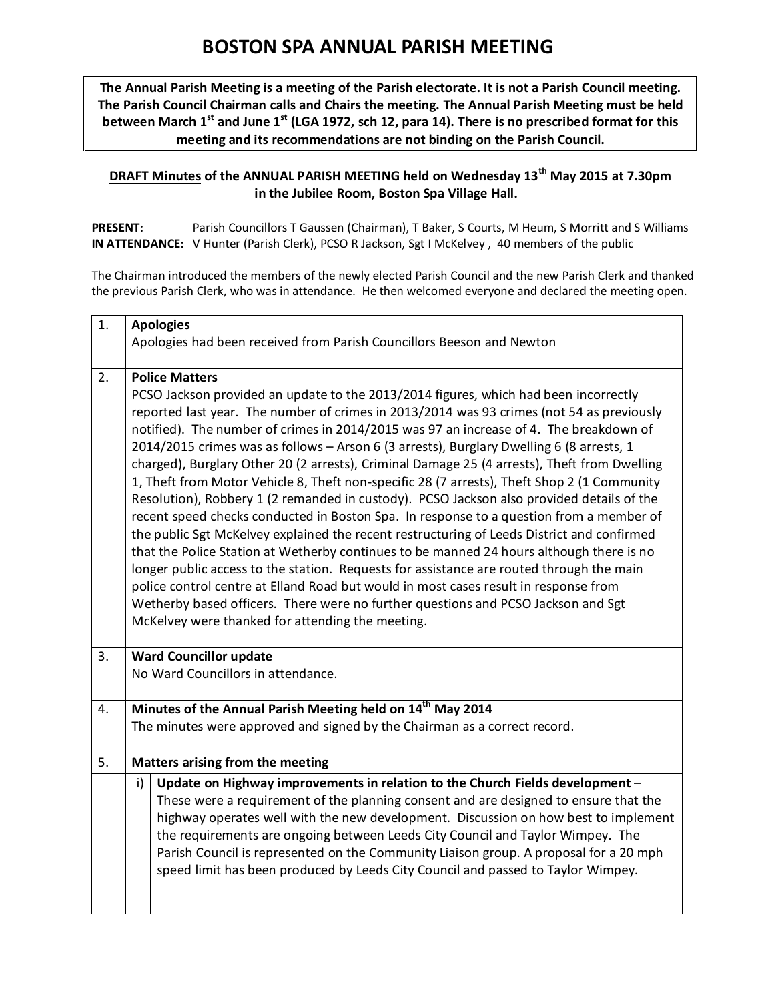## **BOSTON SPA ANNUAL PARISH MEETING**

**The Annual Parish Meeting is a meeting of the Parish electorate. It is not a Parish Council meeting. The Parish Council Chairman calls and Chairs the meeting. The Annual Parish Meeting must be held between March 1st and June 1st (LGA 1972, sch 12, para 14). There is no prescribed format for this meeting and its recommendations are not binding on the Parish Council.**

## **DRAFT Minutes of the ANNUAL PARISH MEETING held on Wednesday 13th May 2015 at 7.30pm in the Jubilee Room, Boston Spa Village Hall.**

**PRESENT:** Parish Councillors T Gaussen (Chairman), T Baker, S Courts, M Heum, S Morritt and S Williams **IN ATTENDANCE:** V Hunter (Parish Clerk), PCSO R Jackson, Sgt I McKelvey , 40 members of the public

The Chairman introduced the members of the newly elected Parish Council and the new Parish Clerk and thanked the previous Parish Clerk, who was in attendance. He then welcomed everyone and declared the meeting open.

| $\mathbf{1}$ . | <b>Apologies</b>                                                                                                                                                                                                                                                                                                                                                                                                                                                                                                                                                                                                                                                                                                                                                                                                                                                                                                                                                                                                                                                                                                                                                                                                                                                                                               |  |
|----------------|----------------------------------------------------------------------------------------------------------------------------------------------------------------------------------------------------------------------------------------------------------------------------------------------------------------------------------------------------------------------------------------------------------------------------------------------------------------------------------------------------------------------------------------------------------------------------------------------------------------------------------------------------------------------------------------------------------------------------------------------------------------------------------------------------------------------------------------------------------------------------------------------------------------------------------------------------------------------------------------------------------------------------------------------------------------------------------------------------------------------------------------------------------------------------------------------------------------------------------------------------------------------------------------------------------------|--|
|                | Apologies had been received from Parish Councillors Beeson and Newton                                                                                                                                                                                                                                                                                                                                                                                                                                                                                                                                                                                                                                                                                                                                                                                                                                                                                                                                                                                                                                                                                                                                                                                                                                          |  |
|                |                                                                                                                                                                                                                                                                                                                                                                                                                                                                                                                                                                                                                                                                                                                                                                                                                                                                                                                                                                                                                                                                                                                                                                                                                                                                                                                |  |
| 2.             | <b>Police Matters</b><br>PCSO Jackson provided an update to the 2013/2014 figures, which had been incorrectly<br>reported last year. The number of crimes in 2013/2014 was 93 crimes (not 54 as previously<br>notified). The number of crimes in 2014/2015 was 97 an increase of 4. The breakdown of<br>2014/2015 crimes was as follows - Arson 6 (3 arrests), Burglary Dwelling 6 (8 arrests, 1<br>charged), Burglary Other 20 (2 arrests), Criminal Damage 25 (4 arrests), Theft from Dwelling<br>1, Theft from Motor Vehicle 8, Theft non-specific 28 (7 arrests), Theft Shop 2 (1 Community<br>Resolution), Robbery 1 (2 remanded in custody). PCSO Jackson also provided details of the<br>recent speed checks conducted in Boston Spa. In response to a question from a member of<br>the public Sgt McKelvey explained the recent restructuring of Leeds District and confirmed<br>that the Police Station at Wetherby continues to be manned 24 hours although there is no<br>longer public access to the station. Requests for assistance are routed through the main<br>police control centre at Elland Road but would in most cases result in response from<br>Wetherby based officers. There were no further questions and PCSO Jackson and Sgt<br>McKelvey were thanked for attending the meeting. |  |
| 3.             | <b>Ward Councillor update</b><br>No Ward Councillors in attendance.                                                                                                                                                                                                                                                                                                                                                                                                                                                                                                                                                                                                                                                                                                                                                                                                                                                                                                                                                                                                                                                                                                                                                                                                                                            |  |
| 4.             | Minutes of the Annual Parish Meeting held on 14 <sup>th</sup> May 2014                                                                                                                                                                                                                                                                                                                                                                                                                                                                                                                                                                                                                                                                                                                                                                                                                                                                                                                                                                                                                                                                                                                                                                                                                                         |  |
|                | The minutes were approved and signed by the Chairman as a correct record.                                                                                                                                                                                                                                                                                                                                                                                                                                                                                                                                                                                                                                                                                                                                                                                                                                                                                                                                                                                                                                                                                                                                                                                                                                      |  |
| 5.             | Matters arising from the meeting                                                                                                                                                                                                                                                                                                                                                                                                                                                                                                                                                                                                                                                                                                                                                                                                                                                                                                                                                                                                                                                                                                                                                                                                                                                                               |  |
|                | Update on Highway improvements in relation to the Church Fields development -<br>i)<br>These were a requirement of the planning consent and are designed to ensure that the<br>highway operates well with the new development. Discussion on how best to implement<br>the requirements are ongoing between Leeds City Council and Taylor Wimpey. The<br>Parish Council is represented on the Community Liaison group. A proposal for a 20 mph<br>speed limit has been produced by Leeds City Council and passed to Taylor Wimpey.                                                                                                                                                                                                                                                                                                                                                                                                                                                                                                                                                                                                                                                                                                                                                                              |  |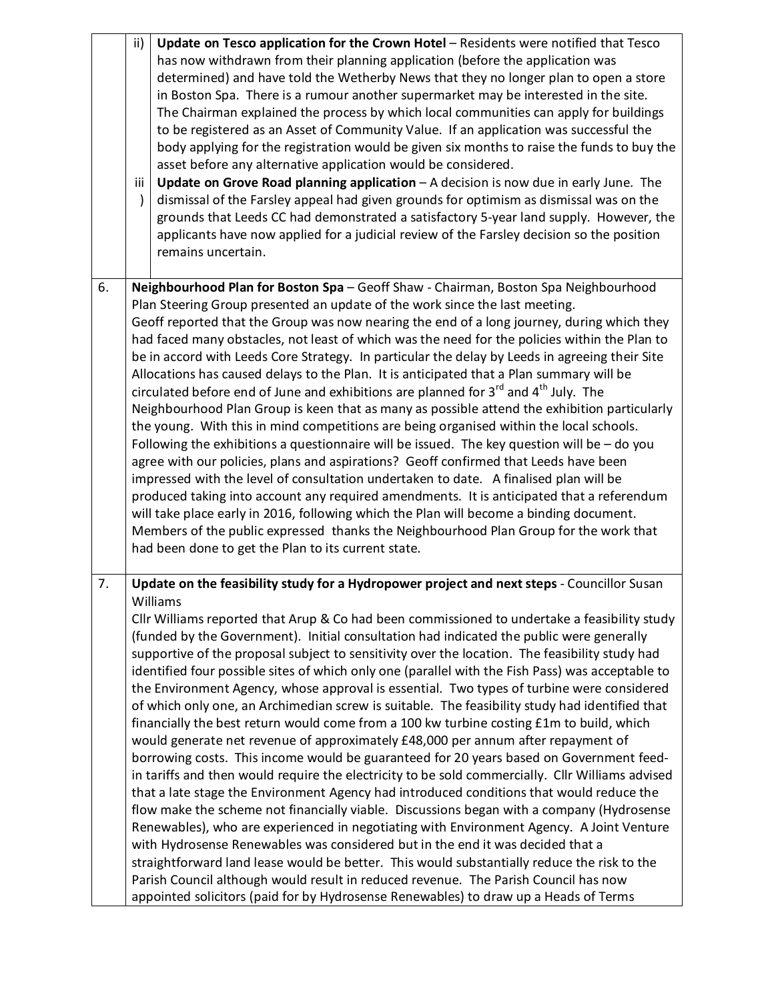|    | ii)       | Update on Tesco application for the Crown Hotel - Residents were notified that Tesco                                                                                                          |
|----|-----------|-----------------------------------------------------------------------------------------------------------------------------------------------------------------------------------------------|
|    |           | has now withdrawn from their planning application (before the application was<br>determined) and have told the Wetherby News that they no longer plan to open a store                         |
|    |           | in Boston Spa. There is a rumour another supermarket may be interested in the site.                                                                                                           |
|    |           | The Chairman explained the process by which local communities can apply for buildings                                                                                                         |
|    |           | to be registered as an Asset of Community Value. If an application was successful the                                                                                                         |
|    |           | body applying for the registration would be given six months to raise the funds to buy the                                                                                                    |
|    |           | asset before any alternative application would be considered.                                                                                                                                 |
|    | iii       | Update on Grove Road planning application - A decision is now due in early June. The                                                                                                          |
|    | $\lambda$ | dismissal of the Farsley appeal had given grounds for optimism as dismissal was on the                                                                                                        |
|    |           | grounds that Leeds CC had demonstrated a satisfactory 5-year land supply. However, the                                                                                                        |
|    |           | applicants have now applied for a judicial review of the Farsley decision so the position<br>remains uncertain.                                                                               |
|    |           |                                                                                                                                                                                               |
| 6. |           | Neighbourhood Plan for Boston Spa - Geoff Shaw - Chairman, Boston Spa Neighbourhood                                                                                                           |
|    |           | Plan Steering Group presented an update of the work since the last meeting.                                                                                                                   |
|    |           | Geoff reported that the Group was now nearing the end of a long journey, during which they                                                                                                    |
|    |           | had faced many obstacles, not least of which was the need for the policies within the Plan to                                                                                                 |
|    |           | be in accord with Leeds Core Strategy. In particular the delay by Leeds in agreeing their Site                                                                                                |
|    |           | Allocations has caused delays to the Plan. It is anticipated that a Plan summary will be                                                                                                      |
|    |           | circulated before end of June and exhibitions are planned for 3 <sup>rd</sup> and 4 <sup>th</sup> July. The                                                                                   |
|    |           | Neighbourhood Plan Group is keen that as many as possible attend the exhibition particularly                                                                                                  |
|    |           | the young. With this in mind competitions are being organised within the local schools.                                                                                                       |
|    |           | Following the exhibitions a questionnaire will be issued. The key question will be $-$ do you                                                                                                 |
|    |           | agree with our policies, plans and aspirations? Geoff confirmed that Leeds have been<br>impressed with the level of consultation undertaken to date. A finalised plan will be                 |
|    |           | produced taking into account any required amendments. It is anticipated that a referendum                                                                                                     |
|    |           | will take place early in 2016, following which the Plan will become a binding document.                                                                                                       |
|    |           | Members of the public expressed thanks the Neighbourhood Plan Group for the work that                                                                                                         |
|    |           | had been done to get the Plan to its current state.                                                                                                                                           |
|    |           |                                                                                                                                                                                               |
| 7. |           | Update on the feasibility study for a Hydropower project and next steps - Councillor Susan                                                                                                    |
|    |           | Williams                                                                                                                                                                                      |
|    |           | Cllr Williams reported that Arup & Co had been commissioned to undertake a feasibility study                                                                                                  |
|    |           | (funded by the Government). Initial consultation had indicated the public were generally                                                                                                      |
|    |           | supportive of the proposal subject to sensitivity over the location. The feasibility study had                                                                                                |
|    |           | identified four possible sites of which only one (parallel with the Fish Pass) was acceptable to<br>the Environment Agency, whose approval is essential. Two types of turbine were considered |
|    |           | of which only one, an Archimedian screw is suitable. The feasibility study had identified that                                                                                                |
|    |           | financially the best return would come from a 100 kw turbine costing £1m to build, which                                                                                                      |
|    |           | would generate net revenue of approximately £48,000 per annum after repayment of                                                                                                              |
|    |           | borrowing costs. This income would be guaranteed for 20 years based on Government feed-                                                                                                       |
|    |           | in tariffs and then would require the electricity to be sold commercially. Cllr Williams advised                                                                                              |
|    |           | that a late stage the Environment Agency had introduced conditions that would reduce the                                                                                                      |
|    |           | flow make the scheme not financially viable. Discussions began with a company (Hydrosense                                                                                                     |
|    |           | Renewables), who are experienced in negotiating with Environment Agency. A Joint Venture                                                                                                      |
|    |           | with Hydrosense Renewables was considered but in the end it was decided that a                                                                                                                |
|    |           | straightforward land lease would be better. This would substantially reduce the risk to the                                                                                                   |
|    |           | Parish Council although would result in reduced revenue. The Parish Council has now                                                                                                           |
|    |           | appointed solicitors (paid for by Hydrosense Renewables) to draw up a Heads of Terms                                                                                                          |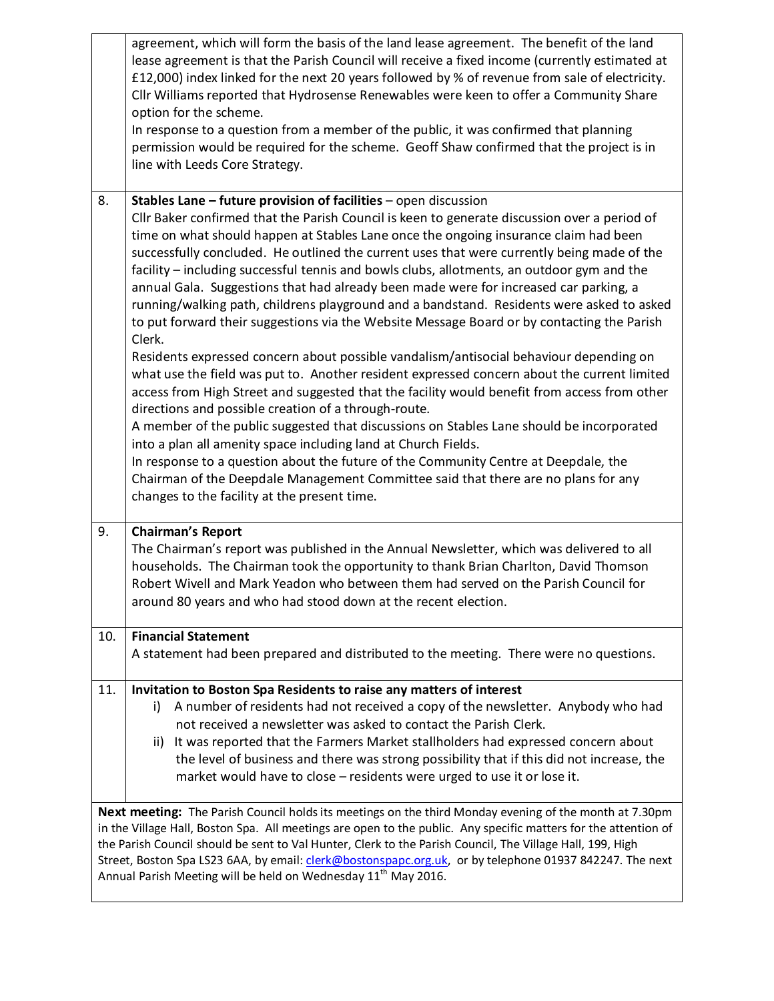|                                                                                                                                                                                                                                                                                                                                                                                                                                                                                                                                 | agreement, which will form the basis of the land lease agreement. The benefit of the land<br>lease agreement is that the Parish Council will receive a fixed income (currently estimated at<br>£12,000) index linked for the next 20 years followed by % of revenue from sale of electricity.<br>Cllr Williams reported that Hydrosense Renewables were keen to offer a Community Share<br>option for the scheme.<br>In response to a question from a member of the public, it was confirmed that planning<br>permission would be required for the scheme. Geoff Shaw confirmed that the project is in<br>line with Leeds Core Strategy.                                                                                                                                                                                                                                                                                                   |  |
|---------------------------------------------------------------------------------------------------------------------------------------------------------------------------------------------------------------------------------------------------------------------------------------------------------------------------------------------------------------------------------------------------------------------------------------------------------------------------------------------------------------------------------|--------------------------------------------------------------------------------------------------------------------------------------------------------------------------------------------------------------------------------------------------------------------------------------------------------------------------------------------------------------------------------------------------------------------------------------------------------------------------------------------------------------------------------------------------------------------------------------------------------------------------------------------------------------------------------------------------------------------------------------------------------------------------------------------------------------------------------------------------------------------------------------------------------------------------------------------|--|
| 8.                                                                                                                                                                                                                                                                                                                                                                                                                                                                                                                              | Stables Lane - future provision of facilities - open discussion<br>Cllr Baker confirmed that the Parish Council is keen to generate discussion over a period of<br>time on what should happen at Stables Lane once the ongoing insurance claim had been<br>successfully concluded. He outlined the current uses that were currently being made of the<br>facility - including successful tennis and bowls clubs, allotments, an outdoor gym and the<br>annual Gala. Suggestions that had already been made were for increased car parking, a<br>running/walking path, childrens playground and a bandstand. Residents were asked to asked<br>to put forward their suggestions via the Website Message Board or by contacting the Parish<br>Clerk.<br>Residents expressed concern about possible vandalism/antisocial behaviour depending on<br>what use the field was put to. Another resident expressed concern about the current limited |  |
|                                                                                                                                                                                                                                                                                                                                                                                                                                                                                                                                 | access from High Street and suggested that the facility would benefit from access from other<br>directions and possible creation of a through-route.<br>A member of the public suggested that discussions on Stables Lane should be incorporated                                                                                                                                                                                                                                                                                                                                                                                                                                                                                                                                                                                                                                                                                           |  |
|                                                                                                                                                                                                                                                                                                                                                                                                                                                                                                                                 | into a plan all amenity space including land at Church Fields.<br>In response to a question about the future of the Community Centre at Deepdale, the<br>Chairman of the Deepdale Management Committee said that there are no plans for any<br>changes to the facility at the present time.                                                                                                                                                                                                                                                                                                                                                                                                                                                                                                                                                                                                                                                |  |
| 9.                                                                                                                                                                                                                                                                                                                                                                                                                                                                                                                              | <b>Chairman's Report</b><br>The Chairman's report was published in the Annual Newsletter, which was delivered to all<br>households. The Chairman took the opportunity to thank Brian Charlton, David Thomson<br>Robert Wivell and Mark Yeadon who between them had served on the Parish Council for<br>around 80 years and who had stood down at the recent election.                                                                                                                                                                                                                                                                                                                                                                                                                                                                                                                                                                      |  |
| 10.                                                                                                                                                                                                                                                                                                                                                                                                                                                                                                                             | <b>Financial Statement</b><br>A statement had been prepared and distributed to the meeting. There were no questions.                                                                                                                                                                                                                                                                                                                                                                                                                                                                                                                                                                                                                                                                                                                                                                                                                       |  |
| 11.                                                                                                                                                                                                                                                                                                                                                                                                                                                                                                                             | Invitation to Boston Spa Residents to raise any matters of interest<br>A number of residents had not received a copy of the newsletter. Anybody who had<br>i)<br>not received a newsletter was asked to contact the Parish Clerk.<br>ii) It was reported that the Farmers Market stallholders had expressed concern about<br>the level of business and there was strong possibility that if this did not increase, the<br>market would have to close - residents were urged to use it or lose it.                                                                                                                                                                                                                                                                                                                                                                                                                                          |  |
| Next meeting: The Parish Council holds its meetings on the third Monday evening of the month at 7.30pm<br>in the Village Hall, Boston Spa. All meetings are open to the public. Any specific matters for the attention of<br>the Parish Council should be sent to Val Hunter, Clerk to the Parish Council, The Village Hall, 199, High<br>Street, Boston Spa LS23 6AA, by email: clerk@bostonspapc.org.uk, or by telephone 01937 842247. The next<br>Annual Parish Meeting will be held on Wednesday 11 <sup>th</sup> May 2016. |                                                                                                                                                                                                                                                                                                                                                                                                                                                                                                                                                                                                                                                                                                                                                                                                                                                                                                                                            |  |